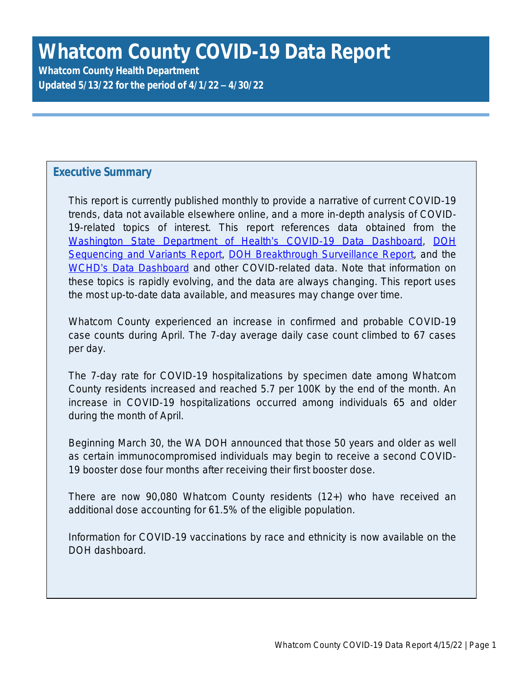# **Whatcom County COVID-19 Data Report**

**Whatcom County Health Department Updated 5/13/22 for the period of 4/1/22 – 4/30/22**

## **Executive Summary**

This report is currently published monthly to provide a narrative of current COVID-19 trends, data not available elsewhere online, and a more in-depth analysis of COVID-19-related topics of interest. This report references data obtained from the [Washington State Department of Health](https://www.doh.wa.gov/Emergencies/COVID19/DataDashboard)'s COVID-19 Data Dashboard, [DOH](https://www.doh.wa.gov/Portals/1/Documents/1600/coronavirus/data-tables/420-316-SequencingAndVariantsReport.pdf) Sequencing and Variants Report, [DOH Breakthrough Surveillance Report,](https://www.doh.wa.gov/Portals/1/Documents/1600/coronavirus/data-tables/420-339-VaccineBreakthroughReport.pdf) and the WCHD'[s Data Dashboard](https://www.whatcomcounty.us/3427/COVID-19-Data) and other COVID-related data. Note that information on these topics is rapidly evolving, and the data are always changing. This report uses the most up-to-date data available, and measures may change over time.

Whatcom County experienced an increase in confirmed and probable COVID-19 case counts during April. The 7-day average daily case count climbed to 67 cases per day.

The 7-day rate for COVID-19 hospitalizations by specimen date among Whatcom County residents increased and reached 5.7 per 100K by the end of the month. An increase in COVID-19 hospitalizations occurred among individuals 65 and older during the month of April.

Beginning March 30, the WA DOH announced that those 50 years and older as well as certain immunocompromised individuals may begin to receive a second COVID-19 booster dose four months after receiving their first booster dose.

There are now 90,080 Whatcom County residents (12+) who have received an additional dose accounting for 61.5% of the eligible population.

Information for COVID-19 vaccinations by race and ethnicity is now available on the DOH dashboard.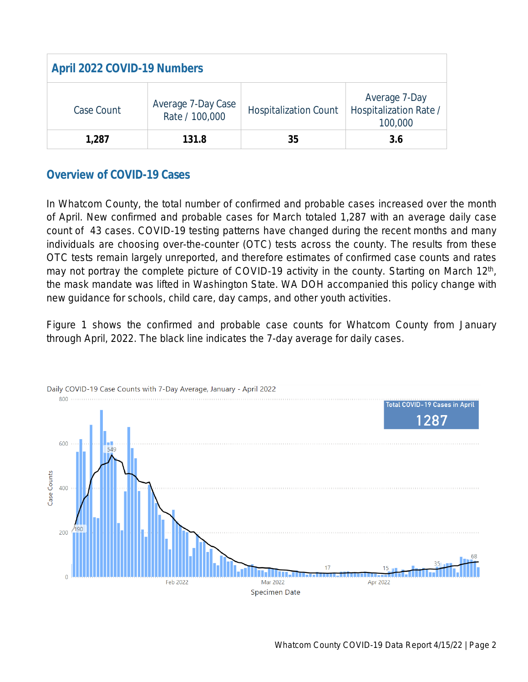| <b>April 2022 COVID-19 Numbers</b> |                                      |                              |                                                    |  |  |  |
|------------------------------------|--------------------------------------|------------------------------|----------------------------------------------------|--|--|--|
| Case Count                         | Average 7-Day Case<br>Rate / 100,000 | <b>Hospitalization Count</b> | Average 7-Day<br>Hospitalization Rate /<br>100,000 |  |  |  |
| 1,287                              | 131.8                                | 35                           | 3.6                                                |  |  |  |

# **Overview of COVID-19 Cases**

In Whatcom County, the total number of confirmed and probable cases increased over the month of April. New confirmed and probable cases for March totaled 1,287 with an average daily case count of 43 cases. COVID-19 testing patterns have changed during the recent months and many individuals are choosing over-the-counter (OTC) tests across the county. The results from these OTC tests remain largely unreported, and therefore estimates of confirmed case counts and rates may not portray the complete picture of COVID-19 activity in the county. Starting on March 12<sup>th</sup>, the mask mandate was lifted in Washington State. WA DOH accompanied this policy change with new guidance for schools, child care, day camps, and other youth activities.

Figure 1 shows the confirmed and probable case counts for Whatcom County from January through April, 2022. The black line indicates the 7-day average for daily cases.

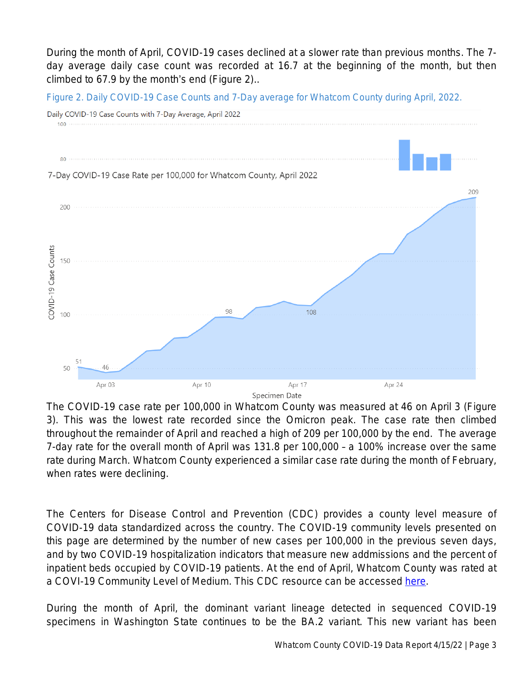During the month of April, COVID-19 cases declined at a slower rate than previous months. The 7 day average daily case count was recorded at 16.7 at the beginning of the month, but then climbed to 67.9 by the month's end (Figure 2)..

*Figure 2. Daily COVID-19 Case Counts and 7-Day average for Whatcom County during April, 2022.*



The COVID-19 case rate per 100,000 in Whatcom County was measured at 46 on April 3 (Figure 3). This was the lowest rate recorded since the Omicron peak. The case rate then climbed throughout the remainder of April and reached a high of 209 per 100,000 by the end. The average 7-day rate for the overall month of April was 131.8 per 100,000 – a 100% increase over the same rate during March. Whatcom County experienced a similar case rate during the month of February, when rates were declining.

The Centers for Disease Control and Prevention (CDC) provides a county level measure of COVID-19 data standardized across the country. The COVID-19 community levels presented on this page are determined by the number of new cases per 100,000 in the previous seven days, and by two COVID-19 hospitalization indicators that measure new addmissions and the percent of inpatient beds occupied by COVID-19 patients. At the end of April, Whatcom County was rated at a COVI-19 Community Level of Medium. This CDC resource can be accessed [here](https://covid.cdc.gov/covid-data-tracker/#county-view?list_select_state=Washington&data-type=CommunityLevels&null=CommunityLevels&list_select_county=53073).

During the month of April, the dominant variant lineage detected in sequenced COVID-19 specimens in Washington State continues to be the BA.2 variant. This new variant has been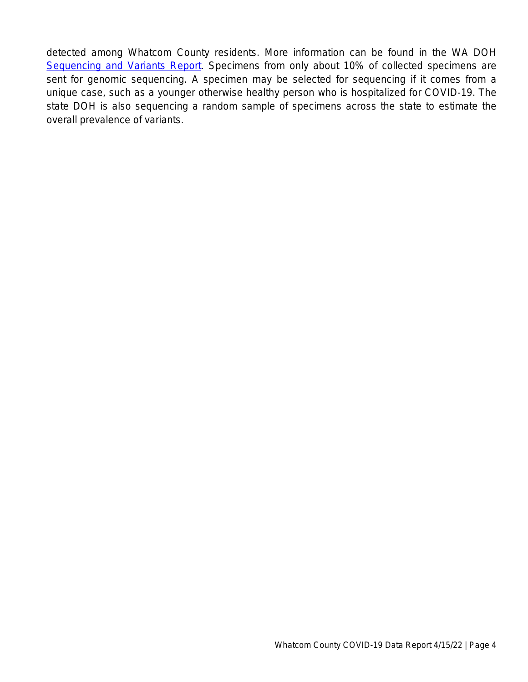detected among Whatcom County residents. More information can be found in the WA DOH [Sequencing and Variants Report](chrome-extension://efaidnbmnnnibpcajpcglclefindmkaj/viewer.html?pdfurl=https%3A%2F%2Fdoh.wa.gov%2Fsites%2Fdefault%2Ffiles%2F2022-02%2F420-316-SequencingAndVariantsReport.pdf%3Fuid%3D6259a44e8ffc1&clen=588062&chunk=true). Specimens from only about 10% of collected specimens are sent for genomic sequencing. A specimen may be selected for sequencing if it comes from a unique case, such as a younger otherwise healthy person who is hospitalized for COVID-19. The state DOH is also sequencing a random sample of specimens across the state to estimate the overall prevalence of variants.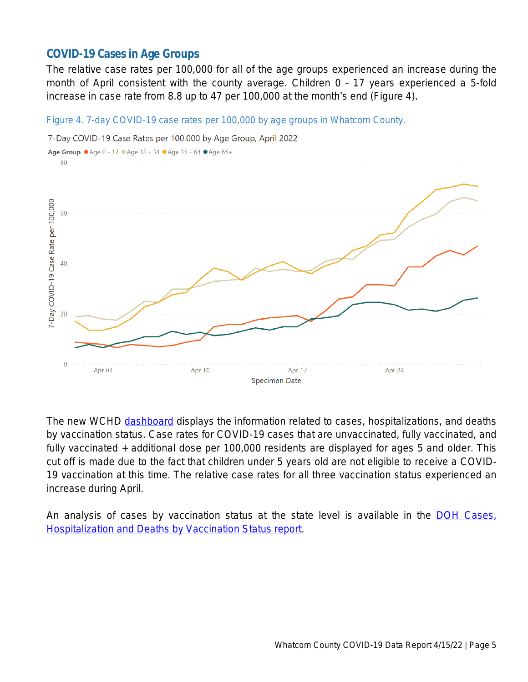## **COVID-19 Cases in Age Groups**

The relative case rates per 100,000 for all of the age groups experienced an increase during the month of April consistent with the county average. Children 0 – 17 years experienced a 5-fold increase in case rate from 8.8 up to 47 per 100,000 at the month's end (Figure 4).

#### *Figure 4. 7-day COVID-19 case rates per 100,000 by age groups in Whatcom County.*



The new WCHD [dashboard](https://www.whatcomcounty.us/3427/COVID-19-Data#AdWCDChts) displays the information related to cases, hospitalizations, and deaths by vaccination status. Case rates for COVID-19 cases that are unvaccinated, fully vaccinated, and fully vaccinated + additional dose per 100,000 residents are displayed for ages 5 and older. This cut off is made due to the fact that children under 5 years old are not eligible to receive a COVID-19 vaccination at this time. The relative case rates for all three vaccination status experienced an increase during April.

An analysis of cases by vaccination status at the state level is available in the **DOH Cases**. [Hospitalization and Deaths by Vaccination Status report.](https://www.doh.wa.gov/Portals/1/Documents/1600/coronavirus/data-tables/421-010-CasesInNotFullyVaccinated.pdf)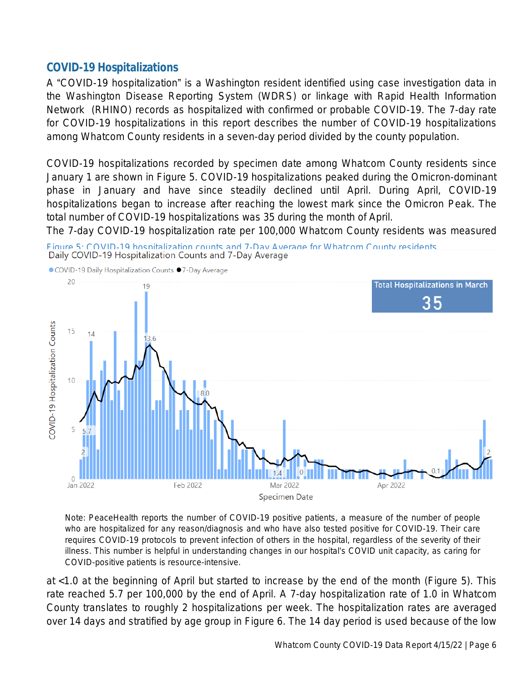## **COVID-19 Hospitalizations**

A "COVID-19 hospitalization" is a Washington resident identified using case investigation data in the Washington Disease Reporting System (WDRS) or linkage with Rapid Health Information Network (RHINO) records as hospitalized with confirmed or probable COVID-19. The 7-day rate for COVID-19 hospitalizations in this report describes the number of COVID-19 hospitalizations among Whatcom County residents in a seven-day period divided by the county population.

COVID-19 hospitalizations recorded by specimen date among Whatcom County residents since January 1 are shown in Figure 5. COVID-19 hospitalizations peaked during the Omicron-dominant phase in January and have since steadily declined until April. During April, COVID-19 hospitalizations began to increase after reaching the lowest mark since the Omicron Peak. The total number of COVID-19 hospitalizations was 35 during the month of April.

The 7-day COVID-19 hospitalization rate per 100,000 Whatcom County residents was measured





*Note: PeaceHealth reports the number of COVID-19 positive patients, a measure of the number of people who are hospitalized for any reason/diagnosis and who have also tested positive for COVID-19. Their care* requires COVID-19 protocols to prevent infection of others in the hospital, regardless of the severity of their illness. This number is helpful in understanding changes in our hospital's COVID unit capacity, as caring for *COVID-positive patients is resource-intensive.*

at <1.0 at the beginning of April but started to increase by the end of the month (Figure 5). This rate reached 5.7 per 100,000 by the end of April. A 7-day hospitalization rate of 1.0 in Whatcom County translates to roughly 2 hospitalizations per week. The hospitalization rates are averaged over 14 days and stratified by age group in Figure 6. The 14 day period is used because of the low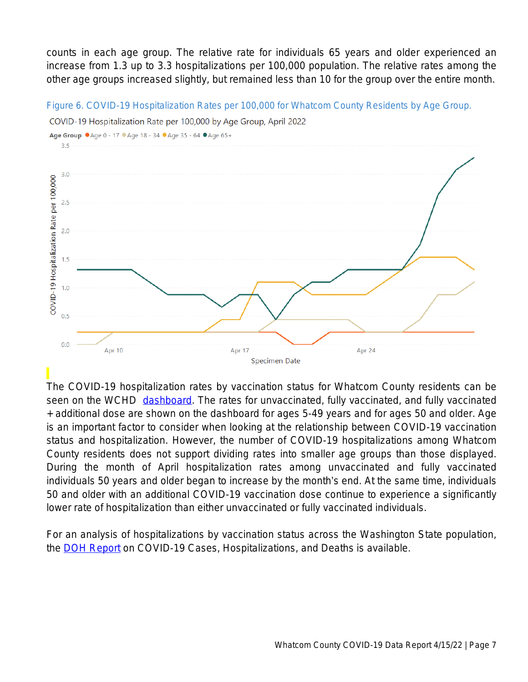counts in each age group. The relative rate for individuals 65 years and older experienced an increase from 1.3 up to 3.3 hospitalizations per 100,000 population. The relative rates among the other age groups increased slightly, but remained less than 10 for the group over the entire month.



*Figure 6. COVID-19 Hospitalization Rates per 100,000 for Whatcom County Residents by Age Group.*

The COVID-19 hospitalization rates by vaccination status for Whatcom County residents can be seen on the WCHD [dashboard.](https://www.whatcomcounty.us/3427/COVID-19-Data#AdWCDChts) The rates for unvaccinated, fully vaccinated, and fully vaccinated + additional dose are shown on the dashboard for ages 5-49 years and for ages 50 and older. Age is an important factor to consider when looking at the relationship between COVID-19 vaccination status and hospitalization. However, the number of COVID-19 hospitalizations among Whatcom County residents does not support dividing rates into smaller age groups than those displayed. During the month of April hospitalization rates among unvaccinated and fully vaccinated individuals 50 years and older began to increase by the month's end. At the same time, individuals 50 and older with an additional COVID-19 vaccination dose continue to experience a significantly lower rate of hospitalization than either unvaccinated or fully vaccinated individuals.

For an analysis of hospitalizations by vaccination status across the Washington State population, the **DOH Report** on COVID-19 Cases, Hospitalizations, and Deaths is available.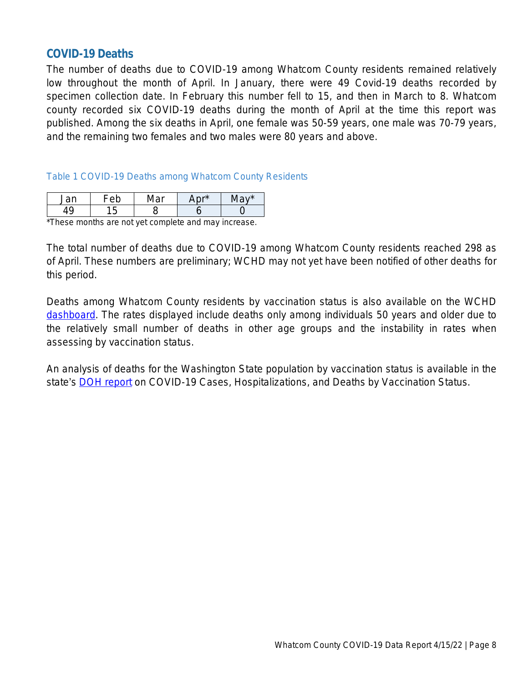### **COVID-19 Deaths**

The number of deaths due to COVID-19 among Whatcom County residents remained relatively low throughout the month of April. In January, there were 49 Covid-19 deaths recorded by specimen collection date. In February this number fell to 15, and then in March to 8. Whatcom county recorded six COVID-19 deaths during the month of April at the time this report was published. Among the six deaths in April, one female was 50-59 years, one male was 70-79 years, and the remaining two females and two males were 80 years and above.

#### *Table 1 COVID-19 Deaths among Whatcom County Residents*

| n r | ັ | ~ ∽* | ∽…* |
|-----|---|------|-----|
|     |   |      |     |

\*These months are not yet complete and may increase.

The total number of deaths due to COVID-19 among Whatcom County residents reached 298 as of April. These numbers are preliminary; WCHD may not yet have been notified of other deaths for this period.

Deaths among Whatcom County residents by vaccination status is also available on the WCHD [dashboard.](https://www.whatcomcounty.us/3427/COVID-19-Data#AdWCDChts) The rates displayed include deaths only among individuals 50 years and older due to the relatively small number of deaths in other age groups and the instability in rates when assessing by vaccination status.

An analysis of deaths for the Washington State population by vaccination status is available in the state's **[DOH report](https://www.doh.wa.gov/Portals/1/Documents/1600/coronavirus/data-tables/421-010-CasesInNotFullyVaccinated.pdf)** on COVID-19 Cases, Hospitalizations, and Deaths by Vaccination Status.